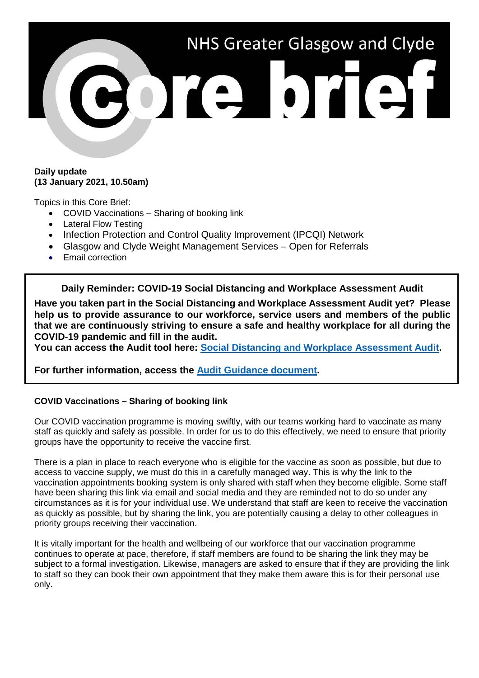

### **Daily update (13 January 2021, 10.50am)**

Topics in this Core Brief:

- COVID Vaccinations Sharing of booking link
- Lateral Flow Testing
- Infection Protection and Control Quality Improvement (IPCQI) Network
- Glasgow and Clyde Weight Management Services Open for Referrals
- Email correction

**Daily Reminder: COVID-19 Social Distancing and Workplace Assessment Audit**

**Have you taken part in the Social Distancing and Workplace Assessment Audit yet? Please help us to provide assurance to our workforce, service users and members of the public that we are continuously striving to ensure a safe and healthy workplace for all during the COVID-19 pandemic and fill in the audit.**

**You can access the Audit tool here: [Social Distancing and Workplace Assessment Audit.](https://link.webropolsurveys.com/Participation/Public/56b08d59-6272-4100-b5ab-23fd2512580e?displayId=Uni2071081)**

**For further information, access the [Audit Guidance document.](https://www.nhsggc.org.uk/media/264335/covid19_staff_socdist_risk_assess_audit_guidance.doc)**

# **COVID Vaccinations – Sharing of booking link**

Our COVID vaccination programme is moving swiftly, with our teams working hard to vaccinate as many staff as quickly and safely as possible. In order for us to do this effectively, we need to ensure that priority groups have the opportunity to receive the vaccine first.

There is a plan in place to reach everyone who is eligible for the vaccine as soon as possible, but due to access to vaccine supply, we must do this in a carefully managed way. This is why the link to the vaccination appointments booking system is only shared with staff when they become eligible. Some staff have been sharing this link via email and social media and they are reminded not to do so under any circumstances as it is for your individual use. We understand that staff are keen to receive the vaccination as quickly as possible, but by sharing the link, you are potentially causing a delay to other colleagues in priority groups receiving their vaccination.

It is vitally important for the health and wellbeing of our workforce that our vaccination programme continues to operate at pace, therefore, if staff members are found to be sharing the link they may be subject to a formal investigation. Likewise, managers are asked to ensure that if they are providing the link to staff so they can book their own appointment that they make them aware this is for their personal use only.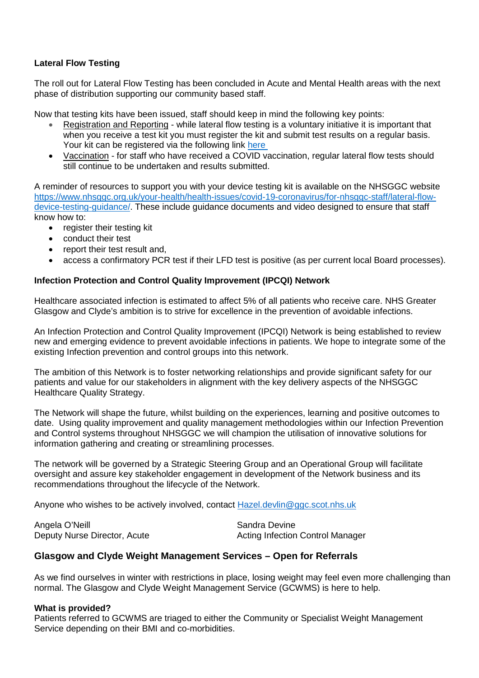# **Lateral Flow Testing**

The roll out for Lateral Flow Testing has been concluded in Acute and Mental Health areas with the next phase of distribution supporting our community based staff.

Now that testing kits have been issued, staff should keep in mind the following key points:

- Registration and Reporting while lateral flow testing is a voluntary initiative it is important that when you receive a test kit you must register the kit and submit test results on a regular basis. Your kit can be registered via the following link [here](https://forms.office.com/Pages/ResponsePage.aspx?id=veDvEDCgykuAnLXmdF5JmgW9YoY5w-BDlHK7ghonYUBUREg4R0RKV1pRMElOU0VJWVBaMlVIM1c3RiQlQCN0PWcu)
- Vaccination for staff who have received a COVID vaccination, regular lateral flow tests should still continue to be undertaken and results submitted.

A reminder of resources to support you with your device testing kit is available on the NHSGGC website [https://www.nhsggc.org.uk/your-health/health-issues/covid-19-coronavirus/for-nhsggc-staff/lateral-flow](https://www.nhsggc.org.uk/your-health/health-issues/covid-19-coronavirus/for-nhsggc-staff/lateral-flow-device-testing-guidance/)[device-testing-guidance/.](https://www.nhsggc.org.uk/your-health/health-issues/covid-19-coronavirus/for-nhsggc-staff/lateral-flow-device-testing-guidance/) These include guidance documents and video designed to ensure that staff know how to:

- register their testing kit
- conduct their test
- report their test result and,
- access a confirmatory PCR test if their LFD test is positive (as per current local Board processes).

# **Infection Protection and Control Quality Improvement (IPCQI) Network**

Healthcare associated infection is estimated to affect 5% of all patients who receive care. NHS Greater Glasgow and Clyde's ambition is to strive for excellence in the prevention of avoidable infections.

An Infection Protection and Control Quality Improvement (IPCQI) Network is being established to review new and emerging evidence to prevent avoidable infections in patients. We hope to integrate some of the existing Infection prevention and control groups into this network.

The ambition of this Network is to foster networking relationships and provide significant safety for our patients and value for our stakeholders in alignment with the key delivery aspects of the NHSGGC Healthcare Quality Strategy.

The Network will shape the future, whilst building on the experiences, learning and positive outcomes to date. Using quality improvement and quality management methodologies within our Infection Prevention and Control systems throughout NHSGGC we will champion the utilisation of innovative solutions for information gathering and creating or streamlining processes.

The network will be governed by a Strategic Steering Group and an Operational Group will facilitate oversight and assure key stakeholder engagement in development of the Network business and its recommendations throughout the lifecycle of the Network.

Anyone who wishes to be actively involved, contact [Hazel.devlin@ggc.scot.nhs.uk](mailto:Hazel.devlin@ggc.scot.nhs.uk)

Angela O'Neill **Sandra Devine** 

Deputy Nurse Director, Acute Acting Infection Control Manager

# **Glasgow and Clyde Weight Management Services – Open for Referrals**

As we find ourselves in winter with restrictions in place, losing weight may feel even more challenging than normal. The Glasgow and Clyde Weight Management Service (GCWMS) is here to help.

#### **What is provided?**

Patients referred to GCWMS are triaged to either the Community or Specialist Weight Management Service depending on their BMI and co-morbidities.